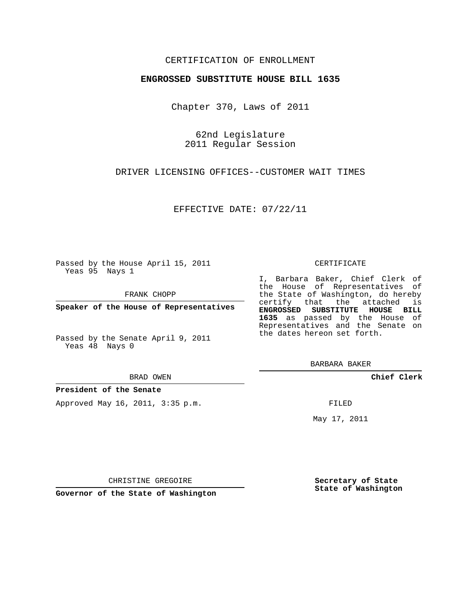## CERTIFICATION OF ENROLLMENT

### **ENGROSSED SUBSTITUTE HOUSE BILL 1635**

Chapter 370, Laws of 2011

62nd Legislature 2011 Regular Session

DRIVER LICENSING OFFICES--CUSTOMER WAIT TIMES

EFFECTIVE DATE: 07/22/11

Passed by the House April 15, 2011 Yeas 95 Nays 1

FRANK CHOPP

**Speaker of the House of Representatives**

Passed by the Senate April 9, 2011 Yeas 48 Nays 0

#### BRAD OWEN

**President of the Senate**

Approved May 16, 2011, 3:35 p.m.

#### CERTIFICATE

I, Barbara Baker, Chief Clerk of the House of Representatives of the State of Washington, do hereby certify that the attached is **ENGROSSED SUBSTITUTE HOUSE BILL 1635** as passed by the House of Representatives and the Senate on the dates hereon set forth.

BARBARA BAKER

**Chief Clerk**

FILED

May 17, 2011

**Secretary of State State of Washington**

CHRISTINE GREGOIRE

**Governor of the State of Washington**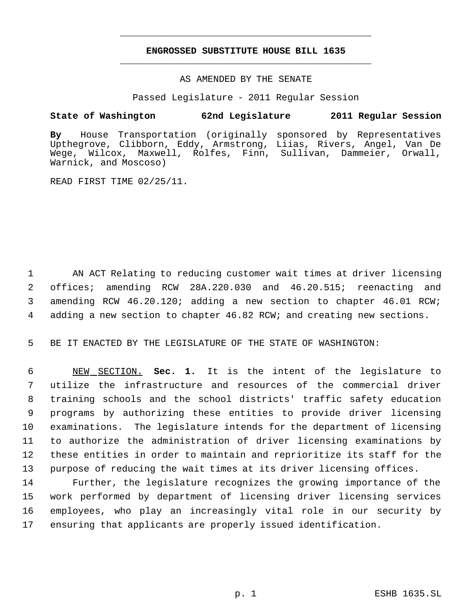# **ENGROSSED SUBSTITUTE HOUSE BILL 1635** \_\_\_\_\_\_\_\_\_\_\_\_\_\_\_\_\_\_\_\_\_\_\_\_\_\_\_\_\_\_\_\_\_\_\_\_\_\_\_\_\_\_\_\_\_

\_\_\_\_\_\_\_\_\_\_\_\_\_\_\_\_\_\_\_\_\_\_\_\_\_\_\_\_\_\_\_\_\_\_\_\_\_\_\_\_\_\_\_\_\_

### AS AMENDED BY THE SENATE

Passed Legislature - 2011 Regular Session

## **State of Washington 62nd Legislature 2011 Regular Session**

**By** House Transportation (originally sponsored by Representatives Upthegrove, Clibborn, Eddy, Armstrong, Liias, Rivers, Angel, Van De Wege, Wilcox, Maxwell, Rolfes, Finn, Sullivan, Dammeier, Orwall, Warnick, and Moscoso)

READ FIRST TIME 02/25/11.

 AN ACT Relating to reducing customer wait times at driver licensing offices; amending RCW 28A.220.030 and 46.20.515; reenacting and amending RCW 46.20.120; adding a new section to chapter 46.01 RCW; adding a new section to chapter 46.82 RCW; and creating new sections.

5 BE IT ENACTED BY THE LEGISLATURE OF THE STATE OF WASHINGTON:

 NEW SECTION. **Sec. 1.** It is the intent of the legislature to utilize the infrastructure and resources of the commercial driver training schools and the school districts' traffic safety education programs by authorizing these entities to provide driver licensing examinations. The legislature intends for the department of licensing to authorize the administration of driver licensing examinations by these entities in order to maintain and reprioritize its staff for the purpose of reducing the wait times at its driver licensing offices.

 Further, the legislature recognizes the growing importance of the work performed by department of licensing driver licensing services employees, who play an increasingly vital role in our security by ensuring that applicants are properly issued identification.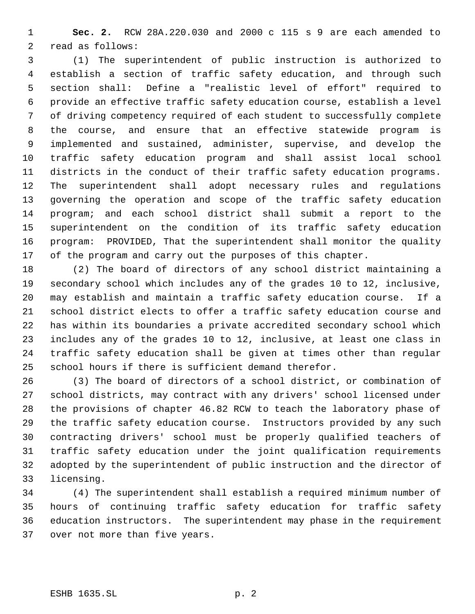**Sec. 2.** RCW 28A.220.030 and 2000 c 115 s 9 are each amended to read as follows:

 (1) The superintendent of public instruction is authorized to establish a section of traffic safety education, and through such section shall: Define a "realistic level of effort" required to provide an effective traffic safety education course, establish a level of driving competency required of each student to successfully complete the course, and ensure that an effective statewide program is implemented and sustained, administer, supervise, and develop the traffic safety education program and shall assist local school districts in the conduct of their traffic safety education programs. The superintendent shall adopt necessary rules and regulations governing the operation and scope of the traffic safety education program; and each school district shall submit a report to the superintendent on the condition of its traffic safety education program: PROVIDED, That the superintendent shall monitor the quality of the program and carry out the purposes of this chapter.

 (2) The board of directors of any school district maintaining a secondary school which includes any of the grades 10 to 12, inclusive, may establish and maintain a traffic safety education course. If a school district elects to offer a traffic safety education course and has within its boundaries a private accredited secondary school which includes any of the grades 10 to 12, inclusive, at least one class in traffic safety education shall be given at times other than regular school hours if there is sufficient demand therefor.

 (3) The board of directors of a school district, or combination of school districts, may contract with any drivers' school licensed under the provisions of chapter 46.82 RCW to teach the laboratory phase of the traffic safety education course. Instructors provided by any such contracting drivers' school must be properly qualified teachers of traffic safety education under the joint qualification requirements adopted by the superintendent of public instruction and the director of licensing.

 (4) The superintendent shall establish a required minimum number of hours of continuing traffic safety education for traffic safety education instructors. The superintendent may phase in the requirement over not more than five years.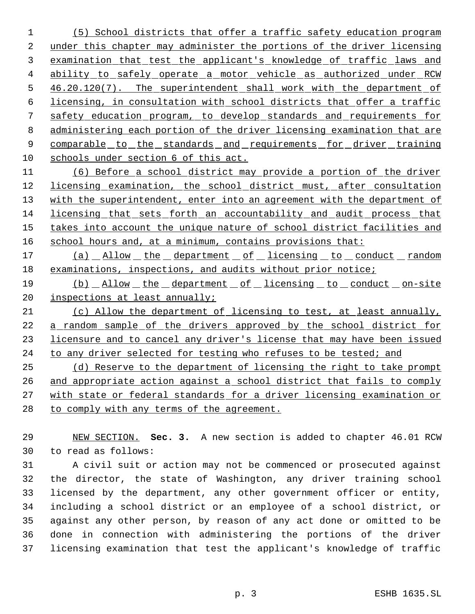(5) School districts that offer a traffic safety education program under this chapter may administer the portions of the driver licensing examination that test the applicant's knowledge of traffic laws and 4 ability to safely operate a motor vehicle as authorized under RCW 5 46.20.120(7). The superintendent shall work with the department of licensing, in consultation with school districts that offer a traffic safety education program, to develop standards and requirements for administering each portion of the driver licensing examination that are 9 comparable to the standards and requirements for driver training schools under section 6 of this act.

 (6) Before a school district may provide a portion of the driver 12 licensing examination, the school district must, after consultation 13 with the superintendent, enter into an agreement with the department of licensing that sets forth an accountability and audit process that 15 takes into account the unique nature of school district facilities and 16 school hours and, at a minimum, contains provisions that:

17 (a) Allow the department of licensing to conduct random examinations, inspections, and audits without prior notice;

19 (b) Allow the department of licensing to conduct on-site 20 inspections at least annually;

 (c) Allow the department of licensing to test, at least annually, a random sample of the drivers approved by the school district for licensure and to cancel any driver's license that may have been issued 24 to any driver selected for testing who refuses to be tested; and

 (d) Reserve to the department of licensing the right to take prompt and appropriate action against a school district that fails to comply with state or federal standards for a driver licensing examination or 28 to comply with any terms of the agreement.

 NEW SECTION. **Sec. 3.** A new section is added to chapter 46.01 RCW to read as follows:

 A civil suit or action may not be commenced or prosecuted against the director, the state of Washington, any driver training school licensed by the department, any other government officer or entity, including a school district or an employee of a school district, or against any other person, by reason of any act done or omitted to be done in connection with administering the portions of the driver licensing examination that test the applicant's knowledge of traffic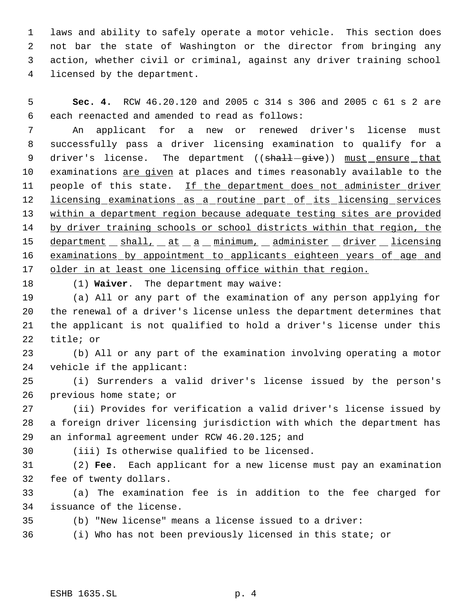laws and ability to safely operate a motor vehicle. This section does not bar the state of Washington or the director from bringing any action, whether civil or criminal, against any driver training school licensed by the department.

 **Sec. 4.** RCW 46.20.120 and 2005 c 314 s 306 and 2005 c 61 s 2 are each reenacted and amended to read as follows:

 An applicant for a new or renewed driver's license must successfully pass a driver licensing examination to qualify for a 9 driver's license. The department ((shall-give)) must ensure that 10 examinations are given at places and times reasonably available to the 11 people of this state. If the department does not administer driver 12 licensing examinations as a routine part of its licensing services within a department region because adequate testing sites are provided 14 by driver training schools or school districts within that region, the 15 department \_ shall, \_ at \_ a \_ minimum, \_ administer \_ driver \_ licensing 16 examinations by appointment to applicants eighteen years of age and older in at least one licensing office within that region.

(1) **Waiver**. The department may waive:

 (a) All or any part of the examination of any person applying for the renewal of a driver's license unless the department determines that the applicant is not qualified to hold a driver's license under this title; or

 (b) All or any part of the examination involving operating a motor vehicle if the applicant:

 (i) Surrenders a valid driver's license issued by the person's previous home state; or

 (ii) Provides for verification a valid driver's license issued by a foreign driver licensing jurisdiction with which the department has an informal agreement under RCW 46.20.125; and

(iii) Is otherwise qualified to be licensed.

 (2) **Fee**. Each applicant for a new license must pay an examination fee of twenty dollars.

 (a) The examination fee is in addition to the fee charged for issuance of the license.

(b) "New license" means a license issued to a driver:

(i) Who has not been previously licensed in this state; or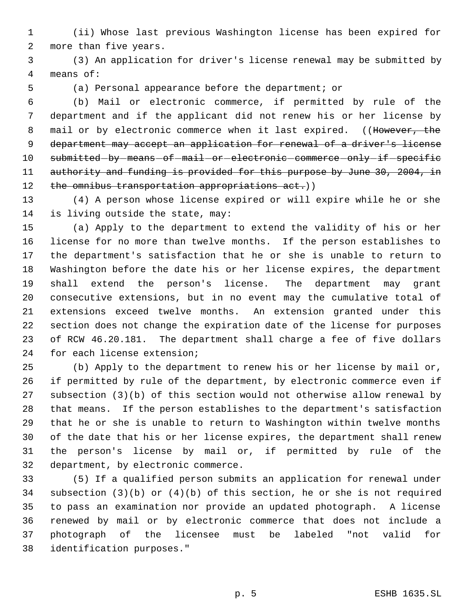(ii) Whose last previous Washington license has been expired for more than five years.

 (3) An application for driver's license renewal may be submitted by means of:

(a) Personal appearance before the department; or

 (b) Mail or electronic commerce, if permitted by rule of the department and if the applicant did not renew his or her license by 8 mail or by electronic commerce when it last expired. ((However, the department may accept an application for renewal of a driver's license 10 submitted by means of mail or electronic commerce only if specific 11 authority and funding is provided for this purpose by June 30, 2004, in 12 the omnibus transportation appropriations act.))

 (4) A person whose license expired or will expire while he or she is living outside the state, may:

 (a) Apply to the department to extend the validity of his or her license for no more than twelve months. If the person establishes to the department's satisfaction that he or she is unable to return to Washington before the date his or her license expires, the department shall extend the person's license. The department may grant consecutive extensions, but in no event may the cumulative total of extensions exceed twelve months. An extension granted under this section does not change the expiration date of the license for purposes of RCW 46.20.181. The department shall charge a fee of five dollars for each license extension;

 (b) Apply to the department to renew his or her license by mail or, if permitted by rule of the department, by electronic commerce even if subsection (3)(b) of this section would not otherwise allow renewal by that means. If the person establishes to the department's satisfaction that he or she is unable to return to Washington within twelve months of the date that his or her license expires, the department shall renew the person's license by mail or, if permitted by rule of the department, by electronic commerce.

 (5) If a qualified person submits an application for renewal under subsection (3)(b) or (4)(b) of this section, he or she is not required to pass an examination nor provide an updated photograph. A license renewed by mail or by electronic commerce that does not include a photograph of the licensee must be labeled "not valid for identification purposes."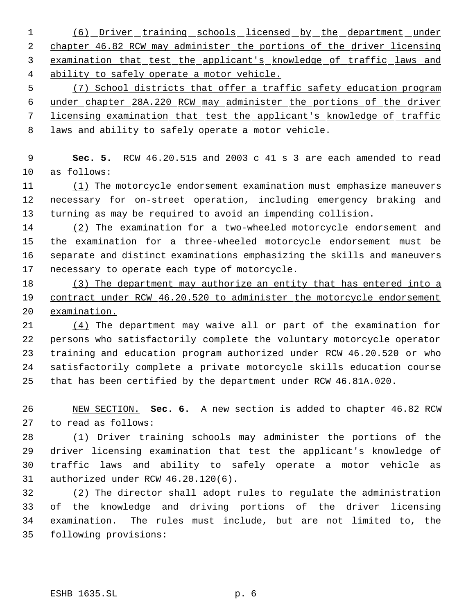1 (6) Driver training schools licensed by the department under 2 chapter 46.82 RCW may administer the portions of the driver licensing examination that test the applicant's knowledge of traffic laws and ability to safely operate a motor vehicle.

 (7) School districts that offer a traffic safety education program under chapter 28A.220 RCW may administer the portions of the driver licensing examination that test the applicant's knowledge of traffic laws and ability to safely operate a motor vehicle.

 **Sec. 5.** RCW 46.20.515 and 2003 c 41 s 3 are each amended to read as follows:

11 (1) The motorcycle endorsement examination must emphasize maneuvers necessary for on-street operation, including emergency braking and turning as may be required to avoid an impending collision.

14 (2) The examination for a two-wheeled motorcycle endorsement and the examination for a three-wheeled motorcycle endorsement must be separate and distinct examinations emphasizing the skills and maneuvers necessary to operate each type of motorcycle.

 (3) The department may authorize an entity that has entered into a 19 contract under RCW 46.20.520 to administer the motorcycle endorsement examination.

 (4) The department may waive all or part of the examination for persons who satisfactorily complete the voluntary motorcycle operator training and education program authorized under RCW 46.20.520 or who satisfactorily complete a private motorcycle skills education course that has been certified by the department under RCW 46.81A.020.

 NEW SECTION. **Sec. 6.** A new section is added to chapter 46.82 RCW to read as follows:

 (1) Driver training schools may administer the portions of the driver licensing examination that test the applicant's knowledge of traffic laws and ability to safely operate a motor vehicle as authorized under RCW 46.20.120(6).

 (2) The director shall adopt rules to regulate the administration of the knowledge and driving portions of the driver licensing examination. The rules must include, but are not limited to, the following provisions: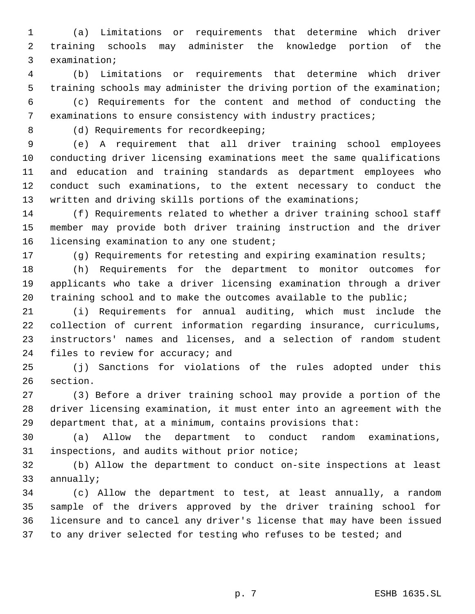(a) Limitations or requirements that determine which driver training schools may administer the knowledge portion of the examination;

 (b) Limitations or requirements that determine which driver training schools may administer the driving portion of the examination;

 (c) Requirements for the content and method of conducting the examinations to ensure consistency with industry practices;

8 (d) Requirements for recordkeeping;

 (e) A requirement that all driver training school employees conducting driver licensing examinations meet the same qualifications and education and training standards as department employees who conduct such examinations, to the extent necessary to conduct the written and driving skills portions of the examinations;

 (f) Requirements related to whether a driver training school staff member may provide both driver training instruction and the driver 16 licensing examination to any one student;

(g) Requirements for retesting and expiring examination results;

 (h) Requirements for the department to monitor outcomes for applicants who take a driver licensing examination through a driver training school and to make the outcomes available to the public;

 (i) Requirements for annual auditing, which must include the collection of current information regarding insurance, curriculums, instructors' names and licenses, and a selection of random student 24 files to review for accuracy; and

 (j) Sanctions for violations of the rules adopted under this section.

 (3) Before a driver training school may provide a portion of the driver licensing examination, it must enter into an agreement with the department that, at a minimum, contains provisions that:

 (a) Allow the department to conduct random examinations, inspections, and audits without prior notice;

 (b) Allow the department to conduct on-site inspections at least annually;

 (c) Allow the department to test, at least annually, a random sample of the drivers approved by the driver training school for licensure and to cancel any driver's license that may have been issued 37 to any driver selected for testing who refuses to be tested; and